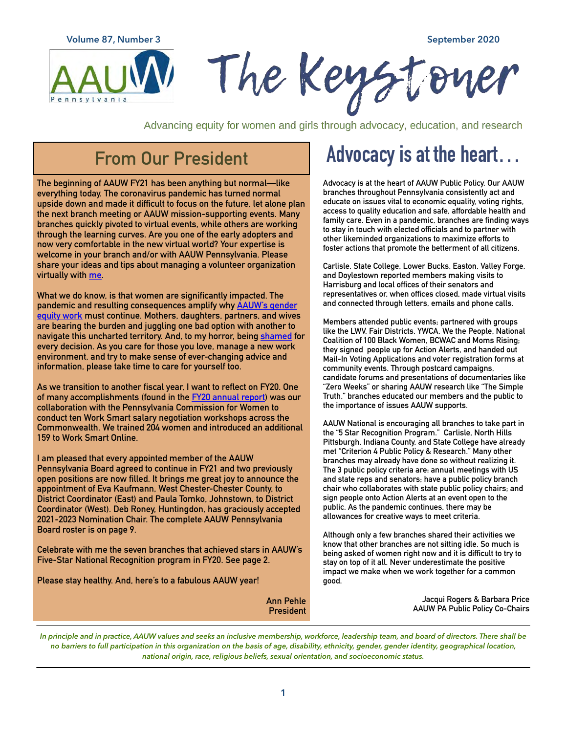**Volume 87, Number 3 September 2020**



Advancing equity for women and girls through advocacy, education, and research

#### **From Our President**

**The beginning of AAUW FY21 has been anything but normal—like everything today. The coronavirus pandemic has turned normal upside down and made it difficult to focus on the future, let alone plan the next branch meeting or AAUW mission-supporting events. Many branches quickly pivoted to virtual events, while others are working through the learning curves. Are you one of the early adopters and now very comfortable in the new virtual world? Your expertise is welcome in your branch and/or with AAUW Pennsylvania. Please share your ideas and tips about managing a volunteer organization virtually with [me.](mailto:aauwpa.president@gmail.com)** 

**What we do know, is that women are significantly impacted. The pandemic and resulting consequences amplify why [AAUW's gender](https://www.aauw.org/resources/news/media/insights/covid-19-economic-impact/)  [equity work](https://www.aauw.org/resources/news/media/insights/covid-19-economic-impact/) must continue. Mothers, daughters, partners, and wives are bearing the burden and juggling one bad option with another to navigate this uncharted territory. And, to my horror, being [shamed](https://www.thelily.com/the-mom-shame-is-so-real-theres-no-way-to-win-in-the-pandemic/) for every decision. As you care for those you love, manage a new work environment, and try to make sense of ever-changing advice and information, please take time to care for yourself too.** 

**As we transition to another fiscal year, I want to reflect on FY20. One of many accomplishments (found in the [FY20 annual report](https://aauw-pa.aauw.net/files/2020/08/Annual-Report-2019-2020.pdf)) was our collaboration with the Pennsylvania Commission for Women to conduct ten Work Smart salary negotiation workshops across the Commonwealth. We trained 204 women and introduced an additional 159 to Work Smart Online.** 

**I am pleased that every appointed member of the AAUW Pennsylvania Board agreed to continue in FY21 and two previously open positions are now filled. It brings me great joy to announce the appointment of Eva Kaufmann, West Chester-Chester County, to District Coordinator (East) and Paula Tomko, Johnstown, to District Coordinator (West). Deb Roney, Huntingdon, has graciously accepted 2021-2023 Nomination Chair. The complete AAUW Pennsylvania Board roster is on page 9.** 

**Celebrate with me the seven branches that achieved stars in AAUW's Five-Star National Recognition program in FY20. See page 2.** 

**Please stay healthy. And, here's to a fabulous AAUW year!** 

### **Advocacy is at the heart…**

**Advocacy is at the heart of AAUW Public Policy. Our AAUW branches throughout Pennsylvania consistently act and educate on issues vital to economic equality, voting rights, access to quality education and safe, affordable health and family care. Even in a pandemic, branches are finding ways to stay in touch with elected officials and to partner with other likeminded organizations to maximize efforts to foster actions that promote the betterment of all citizens.** 

**Carlisle, State College, Lower Bucks, Easton, Valley Forge, and Doylestown reported members making visits to Harrisburg and local offices of their senators and representatives or, when offices closed, made virtual visits and connected through letters, emails and phone calls.** 

**Members attended public events; partnered with groups like the LWV, Fair Districts, YWCA, We the People, National Coalition of 100 Black Women, BCWAC and Moms Rising; they signed people up for Action Alerts, and handed out Mail-In Voting Applications and voter registration forms at community events. Through postcard campaigns, candidate forums and presentations of documentaries like "Zero Weeks" or sharing AAUW research like "The Simple Truth," branches educated our members and the public to the importance of issues AAUW supports.** 

**AAUW National is encouraging all branches to take part in the "5 Star Recognition Program." Carlisle, North Hills Pittsburgh, Indiana County, and State College have already met "Criterion 4 Public Policy & Research." Many other branches may already have done so without realizing it. The 3 public policy criteria are: annual meetings with US and state reps and senators; have a public policy branch chair who collaborates with state public policy chairs; and sign people onto Action Alerts at an event open to the public. As the pandemic continues, there may be allowances for creative ways to meet criteria.** 

**Although only a few branches shared their activities we know that other branches are not sitting idle. So much is being asked of women right now and it is difficult to try to stay on top of it all. Never underestimate the positive impact we make when we work together for a common good.** 

**Ann Pehle President**

**Jacqui Rogers & Barbara Price AAUW PA Public Policy Co-Chairs**

*In principle and in practice, AAUW values and seeks an inclusive membership, workforce, leadership team, and board of directors. There shall be no barriers to full participation in this organization on the basis of age, disability, ethnicity, gender, gender identity, geographical location, national origin, race, religious beliefs, sexual orientation, and socioeconomic status.*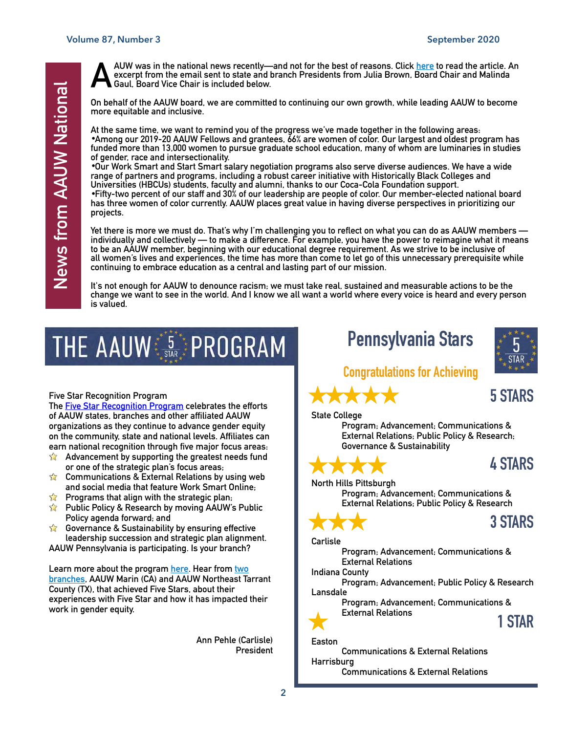**AAUW was in the national news recently—and not for the best of reasons. Click [here](https://www.thelily.com/how-many-women-of-color-have-to-cry-top-feminist-organizations-are-plagued-by-racism-20-former-staffers-say/?tid=more_from_lily) to read the article. An excerpt from the email sent to state and branch Presidents from Julia Brown, Board Chair and Malinda Gaul, Board Vice Chair is included below.** 

**On behalf of the AAUW board, we are committed to continuing our own growth, while leading AAUW to become more equitable and inclusive.** 

**At the same time, we want to remind you of the progress we've made together in the following areas:**  •**Among our 2019-20 AAUW Fellows and grantees, 66% are women of color. Our largest and oldest program has funded more than 13,000 women to pursue graduate school education, many of whom are luminaries in studies of gender, race and intersectionality.** 

•**Our Work Smart and Start Smart salary negotiation programs also serve diverse audiences. We have a wide range of partners and programs, including a robust career initiative with Historically Black Colleges and Universities (HBCUs) students, faculty and alumni, thanks to our Coca-Cola Foundation support.**  •**Fifty-two percent of our staff and 30% of our leadership are people of color. Our member-elected national board** 

**has three women of color currently. AAUW places great value in having diverse perspectives in prioritizing our projects.** 

**Yet there is more we must do. That's why I'm challenging you to reflect on what you can do as AAUW members individually and collectively — to make a difference. For example, you have the power to reimagine what it means to be an AAUW member, beginning with our educational degree requirement. As we strive to be inclusive of all women's lives and experiences, the time has more than come to let go of this unnecessary prerequisite while continuing to embrace education as a central and lasting part of our mission.** 

**It's not enough for AAUW to denounce racism; we must take real, sustained and measurable actions to be the change we want to see in the world. And I know we all want a world where every voice is heard and every person is valued.** 

# THE AAUW SARE PROGRAM

#### **Five Star Recognition Program**

**The [Five Star Recognition Program](https://www.aauw.org/resources/member/initiatives/5-star-program/) celebrates the efforts of AAUW states, branches and other affiliated AAUW organizations as they continue to advance gender equity on the community, state and national levels. Affiliates can earn national recognition through five major focus areas:** 

- $\sum$ **Advancement by supporting the greatest needs fund or one of the strategic plan's focus areas;**
- **Communications & External Relations by using web and social media that feature Work Smart Online;**
- **Programs that align with the strategic plan;**
- **Public Policy & Research by moving AAUW's Public Policy agenda forward; and**
- $\sum$ **Governance & Sustainability by ensuring effective leadership succession and strategic plan alignment.**

**AAUW Pennsylvania is participating. Is your branch?** 

**Learn more about the program [here.](https://www.aauw.org/resources/member/initiatives/5-star-program/) Hear from [two](https://www.aauw.org/resources/member/initiatives/5-star-program/)  [branches,](https://www.aauw.org/resources/member/initiatives/5-star-program/) AAUW Marin (CA) and AAUW Northeast Tarrant County (TX), that achieved Five Stars, about their experiences with Five Star and how it has impacted their work in gender equity.** 

> **Ann Pehle (Carlisle) President**

#### **Pennsylvania Stars**



**5 STARS** 

#### **Congratulations for Achieving**



**Program; Advancement; Communications & External Relations; Public Policy & Research; Governance & Sustainability**



#### **4 STARS**

**North Hills Pittsburgh Program; Advancement; Communications & External Relations; Public Policy & Research**

**3 STARS** 

**Carlisle** 

**Program; Advancement; Communications & External Relations** 

**Indiana County** 

**Program; Advancement; Public Policy & Research Lansdale** 

**Program; Advancement; Communications & External Relations 1 STAR** 



**Easton** 

**Communications & External Relations Harrisburg Communications & External Relations**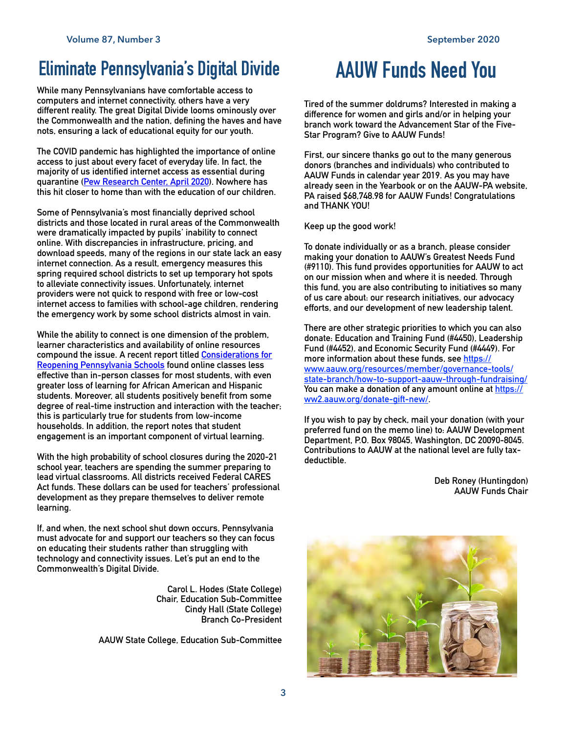### **Eliminate Pennsylvania's Digital Divide**

**While many Pennsylvanians have comfortable access to computers and internet connectivity, others have a very different reality. The great Digital Divide looms ominously over the Commonwealth and the nation, defining the haves and have nots, ensuring a lack of educational equity for our youth.** 

**The COVID pandemic has highlighted the importance of online access to just about every facet of everyday life. In fact, the majority of us identified internet access as essential during quarantine [\(Pew Research Center, April 2020\)](https://www.pewresearch.org/internet/2020/04/30/53-of-americans-say-the-internet-has-been-essential-during-the-covid-19-outbreak/). Nowhere has this hit closer to home than with the education of our children.** 

**Some of Pennsylvania's most financially deprived school districts and those located in rural areas of the Commonwealth were dramatically impacted by pupils' inability to connect online. With discrepancies in infrastructure, pricing, and download speeds, many of the regions in our state lack an easy internet connection. As a result, emergency measures this spring required school districts to set up temporary hot spots to alleviate connectivity issues. Unfortunately, internet providers were not quick to respond with free or low-cost internet access to families with school-age children, rendering the emergency work by some school districts almost in vain.** 

**While the ability to connect is one dimension of the problem, learner characteristics and availability of online resources compound the issue. A recent report titled [Considerations for](https://ies.ed.gov/ncee/edlabs/regions/midatlantic/pdf/ReopeningPASchools.pdf)  [Reopening Pennsylvania Schools](https://ies.ed.gov/ncee/edlabs/regions/midatlantic/pdf/ReopeningPASchools.pdf) found online classes less effective than in-person classes for most students, with even greater loss of learning for African American and Hispanic students. Moreover, all students positively benefit from some degree of real-time instruction and interaction with the teacher; this is particularly true for students from low-income households. In addition, the report notes that student engagement is an important component of virtual learning.** 

**With the high probability of school closures during the 2020-21 school year, teachers are spending the summer preparing to lead virtual classrooms. All districts received Federal CARES Act funds. These dollars can be used for teachers' professional development as they prepare themselves to deliver remote learning.** 

**If, and when, the next school shut down occurs, Pennsylvania must advocate for and support our teachers so they can focus on educating their students rather than struggling with technology and connectivity issues. Let's put an end to the Commonwealth's Digital Divide.** 

> **Carol L. Hodes (State College) Chair, Education Sub-Committee Cindy Hall (State College) Branch Co-President**

**AAUW State College, Education Sub-Committee** 

### **AAUW Funds Need You**

**Tired of the summer doldrums? Interested in making a difference for women and girls and/or in helping your branch work toward the Advancement Star of the Five-Star Program? Give to AAUW Funds!** 

**First, our sincere thanks go out to the many generous donors (branches and individuals) who contributed to AAUW Funds in calendar year 2019. As you may have already seen in the Yearbook or on the AAUW-PA website, PA raised \$68,748.98 for AAUW Funds! Congratulations and THANK YOU!**

**Keep up the good work!** 

**To donate individually or as a branch, please consider making your donation to AAUW's Greatest Needs Fund (#9110). This fund provides opportunities for AAUW to act on our mission when and where it is needed. Through this fund, you are also contributing to initiatives so many of us care about: our research initiatives, our advocacy efforts, and our development of new leadership talent.** 

**There are other strategic priorities to which you can also donate: Education and Training Fund (#4450), Leadership Fund (#4452), and Economic Security Fund (#4449). For more information about these funds, see [https://](https://www.aauw.org/resources/member/governance-tools/state-branch/how-to-support-aauw-through-fundraising/) [www.aauw.org/resources/member/governance-tools/](https://www.aauw.org/resources/member/governance-tools/state-branch/how-to-support-aauw-through-fundraising/) [state-branch/how-to-support-aauw-through-fundraising/](https://www.aauw.org/resources/member/governance-tools/state-branch/how-to-support-aauw-through-fundraising/)  You can make a donation of any amount online at [https://](https://ww2.aauw.org/donate-gift-new/) [ww2.aauw.org/donate-gift-new/.](https://ww2.aauw.org/donate-gift-new/)** 

**If you wish to pay by check, mail your donation (with your preferred fund on the memo line) to: AAUW Development Department, P.O. Box 98045, Washington, DC 20090-8045. Contributions to AAUW at the national level are fully taxdeductible.** 

> **Deb Roney (Huntingdon) AAUW Funds Chair**

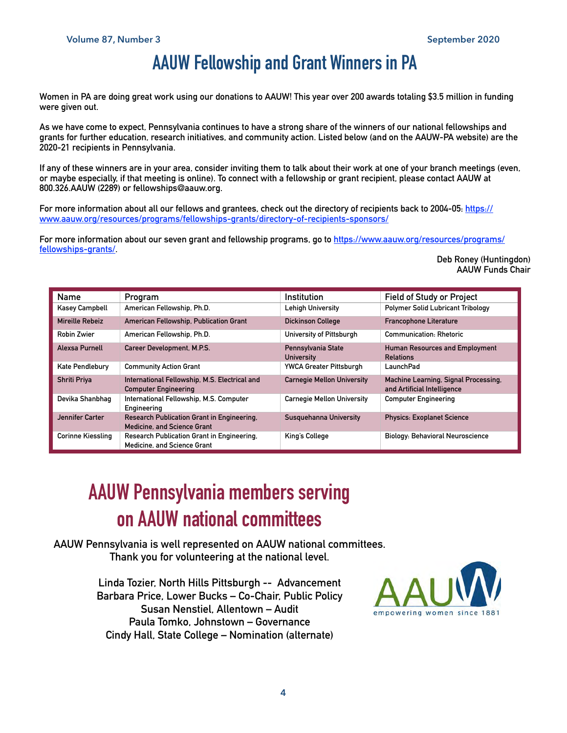#### **AAUW Fellowship and Grant Winners in PA**

**Women in PA are doing great work using our donations to AAUW! This year over 200 awards totaling \$3.5 million in funding were given out.** 

**As we have come to expect, Pennsylvania continues to have a strong share of the winners of our national fellowships and grants for further education, research initiatives, and community action. Listed below (and on the AAUW-PA website) are the 2020-21 recipients in Pennsylvania.** 

**If any of these winners are in your area, consider inviting them to talk about their work at one of your branch meetings (even, or maybe especially, if that meeting is online). To connect with a fellowship or grant recipient, please contact AAUW at 800.326.AAUW (2289) or fellowships@aauw.org.** 

For more information about all our fellows and grantees, check out the directory of recipients back to 2004-05: [https://](https://www.aauw.org/resources/programs/fellowships-grants/directory-of-recipients-sponsors/) **[www.aauw.org/resources/programs/fellowships-grants/directory-of-recipients-sponsors/](https://www.aauw.org/resources/programs/fellowships-grants/directory-of-recipients-sponsors/)** 

**For more information about our seven grant and fellowship programs, go to [https://www.aauw.org/resources/programs/](https://www.aauw.org/resources/programs/fellowships-grants/) [fellowships-grants/.](https://www.aauw.org/resources/programs/fellowships-grants/)** 

**Deb Roney (Huntingdon) AAUW Funds Chair**

| Name                     | Program                                                                          | Institution                             | <b>Field of Study or Project</b>                                    |
|--------------------------|----------------------------------------------------------------------------------|-----------------------------------------|---------------------------------------------------------------------|
| <b>Kasey Campbell</b>    | American Fellowship, Ph.D.                                                       | <b>Lehigh University</b>                | <b>Polymer Solid Lubricant Tribology</b>                            |
| Mireille Rebeiz          | American Fellowship, Publication Grant                                           | <b>Dickinson College</b>                | <b>Francophone Literature</b>                                       |
| <b>Robin Zwier</b>       | American Fellowship, Ph.D.                                                       | University of Pittsburgh                | <b>Communication: Rhetoric</b>                                      |
| Alexsa Purnell           | Career Development, M.P.S.                                                       | Pennsylvania State<br><b>University</b> | <b>Human Resources and Employment</b><br><b>Relations</b>           |
| Kate Pendlebury          | <b>Community Action Grant</b>                                                    | <b>YWCA Greater Pittsburgh</b>          | LaunchPad                                                           |
| Shriti Priya             | International Fellowship, M.S. Electrical and<br><b>Computer Engineering</b>     | <b>Carnegie Mellon University</b>       | Machine Learning, Signal Processing,<br>and Artificial Intelligence |
| Devika Shanbhag          | International Fellowship, M.S. Computer<br>Engineering                           | <b>Carnegie Mellon University</b>       | <b>Computer Engineering</b>                                         |
| Jennifer Carter          | Research Publication Grant in Engineering,<br><b>Medicine, and Science Grant</b> | <b>Susquehanna University</b>           | <b>Physics: Exoplanet Science</b>                                   |
| <b>Corinne Kiessling</b> | Research Publication Grant in Engineering,<br><b>Medicine, and Science Grant</b> | King's College                          | <b>Biology: Behavioral Neuroscience</b>                             |

### **AAUW Pennsylvania members serving on AAUW national committees**

**AAUW Pennsylvania is well represented on AAUW national committees. Thank you for volunteering at the national level.** 

> **Linda Tozier, North Hills Pittsburgh -- Advancement Barbara Price, Lower Bucks – Co-Chair, Public Policy Susan Nenstiel, Allentown – Audit Paula Tomko, Johnstown – Governance Cindy Hall, State College – Nomination (alternate)**

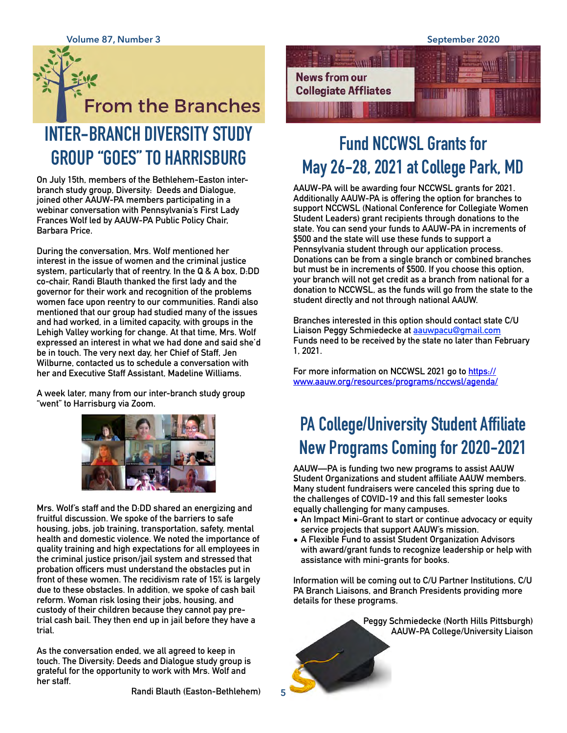## **From the Branches INTER-BRANCH DIVERSITY STUDY GROUP "GOES" TO HARRISBURG**

**On July 15th, members of the Bethlehem-Easton interbranch study group, Diversity: Deeds and Dialogue, joined other AAUW-PA members participating in a webinar conversation with Pennsylvania's First Lady Frances Wolf led by AAUW-PA Public Policy Chair, Barbara Price.** 

**During the conversation, Mrs. Wolf mentioned her interest in the issue of women and the criminal justice system, particularly that of reentry. In the Q & A box, D:DD co-chair, Randi Blauth thanked the first lady and the governor for their work and recognition of the problems women face upon reentry to our communities. Randi also mentioned that our group had studied many of the issues and had worked, in a limited capacity, with groups in the Lehigh Valley working for change. At that time, Mrs. Wolf expressed an interest in what we had done and said she'd be in touch. The very next day, her Chief of Staff, Jen Wilburne, contacted us to schedule a conversation with her and Executive Staff Assistant, Madeline Williams.** 

**A week later, many from our inter-branch study group "went" to Harrisburg via Zoom.** 



**Mrs. Wolf's staff and the D:DD shared an energizing and fruitful discussion. We spoke of the barriers to safe housing, jobs, job training, transportation, safety, mental health and domestic violence. We noted the importance of quality training and high expectations for all employees in the criminal justice prison/jail system and stressed that probation officers must understand the obstacles put in front of these women. The recidivism rate of 15% is largely due to these obstacles. In addition, we spoke of cash bail reform. Woman risk losing their jobs, housing, and custody of their children because they cannot pay pretrial cash bail. They then end up in jail before they have a trial.** 

**As the conversation ended, we all agreed to keep in touch. The Diversity: Deeds and Dialogue study group is grateful for the opportunity to work with Mrs. Wolf and her staff.** 

**Randi Blauth (Easton-Bethlehem)**

**5**



### **Fund NCCWSL Grants for May 26-28, 2021 at College Park, MD**

**AAUW-PA will be awarding four NCCWSL grants for 2021. Additionally AAUW-PA is offering the option for branches to support NCCWSL (National Conference for Collegiate Women Student Leaders) grant recipients through donations to the state. You can send your funds to AAUW-PA in increments of \$500 and the state will use these funds to support a Pennsylvania student through our application process. Donations can be from a single branch or combined branches but must be in increments of \$500. If you choose this option, your branch will not get credit as a branch from national for a donation to NCCWSL, as the funds will go from the state to the student directly and not through national AAUW.** 

**Branches interested in this option should contact state C/U Liaison Peggy Schmiedecke at [aauwpacu@gmail.com](mailto:aauwpacu@gmail.com) Funds need to be received by the state no later than February 1, 2021.** 

**For more information on NCCWSL 2021 go to [https://](https://www.aauw.org/resources/programs/nccwsl/agenda/) [www.aauw.org/resources/programs/nccwsl/agenda/](https://www.aauw.org/resources/programs/nccwsl/agenda/)**

### **PA College/University Student Affiliate New Programs Coming for 2020-2021**

**AAUW—PA is funding two new programs to assist AAUW Student Organizations and student affiliate AAUW members. Many student fundraisers were canceled this spring due to the challenges of COVID-19 and this fall semester looks equally challenging for many campuses.** 

- **• An Impact Mini-Grant to start or continue advocacy or equity service projects that support AAUW's mission.**
- **• A Flexible Fund to assist Student Organization Advisors with award/grant funds to recognize leadership or help with assistance with mini-grants for books.**

**Information will be coming out to C/U Partner Institutions, C/U PA Branch Liaisons, and Branch Presidents providing more details for these programs.** 

> **Peggy Schmiedecke (North Hills Pittsburgh) AAUW-PA College/University Liaison**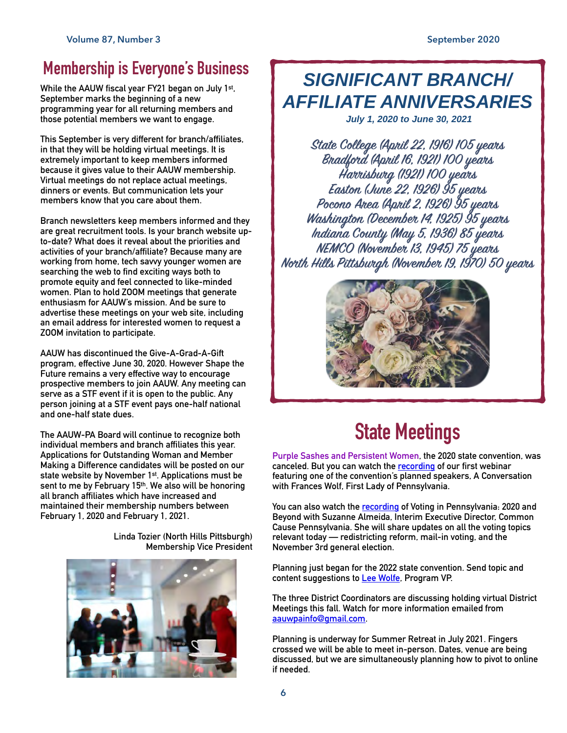#### **Membership is Everyone's Business**

**While the AAUW fiscal year FY21 began on July 1st, September marks the beginning of a new programming year for all returning members and those potential members we want to engage.** 

**This September is very different for branch/affiliates, in that they will be holding virtual meetings. It is extremely important to keep members informed because it gives value to their AAUW membership. Virtual meetings do not replace actual meetings, dinners or events. But communication lets your members know that you care about them.** 

**Branch newsletters keep members informed and they are great recruitment tools. Is your branch website upto-date? What does it reveal about the priorities and activities of your branch/affiliate? Because many are working from home, tech savvy younger women are searching the web to find exciting ways both to promote equity and feel connected to like-minded women. Plan to hold ZOOM meetings that generate enthusiasm for AAUW's mission. And be sure to advertise these meetings on your web site, including an email address for interested women to request a ZOOM invitation to participate.** 

**AAUW has discontinued the Give-A-Grad-A-Gift program, effective June 30, 2020. However Shape the Future remains a very effective way to encourage prospective members to join AAUW. Any meeting can serve as a STF event if it is open to the public. Any person joining at a STF event pays one-half national and one-half state dues.** 

**The AAUW-PA Board will continue to recognize both individual members and branch affiliates this year. Applications for Outstanding Woman and Member Making a Difference candidates will be posted on our state website by November 1st. Applications must be sent to me by February 15th. We also will be honoring all branch affiliates which have increased and maintained their membership numbers between February 1, 2020 and February 1, 2021.** 

> **Linda Tozier (North Hills Pittsburgh) Membership Vice President**



### *SIGNIFICANT BRANCH/ AFFILIATE ANNIVERSARIES*

*July 1, 2020 to June 30, 2021*

**State Colege (April 22, 1916) 105 yeas Bradfod (April 16, 1921) 100 yeas Haisbug (1921) 100 yeas Easto (June 22, 1926) 95 yeas Pocoo Area (April 2, 1926) 95 yeas Washingto (Decembe 14, 1925) 95 yeas Indiana Conty (May 5, 1936) 85 yeas NEMCO (Noembe 13, 1945) 75 yeas Noth Hills Pitsbugh (Noembe 19, 1970) 50 yeas**



### **State Meetings**

**Purple Sashes and Persistent Women, the 2020 state convention, was canceled. But you can watch the [recording](https://us02web.zoom.us/rec/play/75QlIuCs-m03HtHAswSDBvV8W47sfK2s1yZI_6cPz0qxUHFVOlumMuBBZ-c4DS3_ETqluCR7USHgH27W) of our first webinar featuring one of the convention's planned speakers, A Conversation with Frances Wolf, First Lady of Pennsylvania.** 

**You can also watch the [recording](https://aauw-pa.aauw.net/) of Voting in Pennsylvania: 2020 and Beyond with Suzanne Almeida, Interim Executive Director, Common Cause Pennsylvania. She will share updates on all the voting topics relevant today — redistricting reform, mail-in voting, and the November 3rd general election.** 

**Planning just began for the 2022 state convention. Send topic and content suggestions to [Lee Wolfe](mailto:aauwpapvp@gmail.com), Program VP.** 

**The three District Coordinators are discussing holding virtual District Meetings this fall. Watch for more information emailed from [aauwpainfo@gmail.com.](mailto:aauwpainfo@gmail.com)** 

**Planning is underway for Summer Retreat in July 2021. Fingers crossed we will be able to meet in-person. Dates, venue are being discussed, but we are simultaneously planning how to pivot to online if needed.**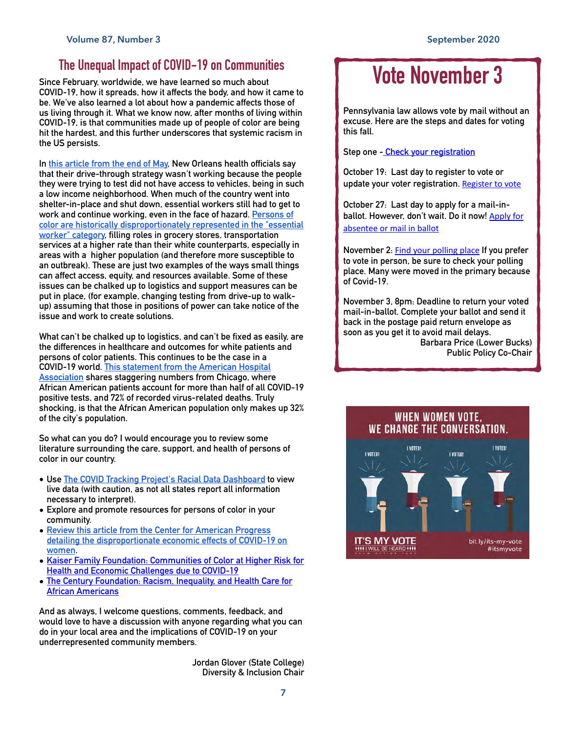#### **The Unequal Impact of COVID-19 on Communities**

**Since February, worldwide, we have learned so much about COVID-19, how it spreads, how it affects the body, and how it came to be. We've also learned a lot about how a pandemic affects those of us living through it. What we know now, after months of living within COVID-19, is that communities made up of people of color are being hit the hardest, and this further underscores that systemic racism in the US persists.** 

**In [this article from the end of May,](https://www.npr.org/sections/health-shots/2020/05/30/865413079/what-do-coronavirus-racial-disparities-look-like-state-by-state) New Orleans health officials say that their drive-through strategy wasn't working because the people they were trying to test did not have access to vehicles, being in such a low income neighborhood. When much of the country went into shelter-in-place and shut down, essential workers still had to get to work and continue working, even in the face of hazard. [Persons of](https://www.bls.gov/opub/reports/race-and-ethnicity/2018/home.htm)  [color are historically disproportionately represented in the "essential](https://www.bls.gov/opub/reports/race-and-ethnicity/2018/home.htm)  [worker" category,](https://www.bls.gov/opub/reports/race-and-ethnicity/2018/home.htm) filling roles in grocery stores, transportation services at a higher rate than their white counterparts, especially in areas with a higher population (and therefore more susceptible to an outbreak). These are just two examples of the ways small things can affect access, equity, and resources available. Some of these issues can be chalked up to logistics and support measures can be put in place, (for example, changing testing from drive-up to walkup) assuming that those in positions of power can take notice of the issue and work to create solutions.** 

**What can't be chalked up to logistics, and can't be fixed as easily, are the differences in healthcare and outcomes for white patients and persons of color patients. This continues to be the case in a COVID-19 world. [This statement from the American Hospital](https://www.aha.org/testimony/2020-05-27-testimony-disproportionate-impact-covid-19-communities-color)  [Association](https://www.aha.org/testimony/2020-05-27-testimony-disproportionate-impact-covid-19-communities-color) shares staggering numbers from Chicago, where African American patients account for more than half of all COVID-19 positive tests, and 72% of recorded virus-related deaths. Truly shocking, is that the African American population only makes up 32% of the city's population.** 

**So what can you do? I would encourage you to review some literature surrounding the care, support, and health of persons of color in our country.** 

- **• Use [The COVID Tracking Project's Racial Data Dashboard](https://covidtracking.com/race/dashboard) to view live data (with caution, as not all states report all information necessary to interpret).**
- **• Explore and promote resources for persons of color in your community.**
- **• [Review this article from the Center for American Progress](https://www.americanprogress.org/issues/women/reports/2020/04/23/483846/frontlines-work-home/)  [detailing the disproportionate economic effects of COVID-19 on](https://www.americanprogress.org/issues/women/reports/2020/04/23/483846/frontlines-work-home/)  [women.](https://www.americanprogress.org/issues/women/reports/2020/04/23/483846/frontlines-work-home/)**
- **• [Kaiser Family Foundation: Communities of Color at Higher Risk for](https://www.kff.org/coronavirus-covid-19/issue-brief/communities-of-color-at-higher-risk-for-health-and-economic-challenges-due-to-covid-19/)  [Health and Economic Challenges due to COVID-19](https://www.kff.org/coronavirus-covid-19/issue-brief/communities-of-color-at-higher-risk-for-health-and-economic-challenges-due-to-covid-19/)**
- **• [The Century Foundation: Racism, Inequality, and Health Care for](https://tcf.org/content/report/racism-inequality-health-care-african-americans/)  [African Americans](https://tcf.org/content/report/racism-inequality-health-care-african-americans/)**

**And as always, I welcome questions, comments, feedback, and would love to have a discussion with anyone regarding what you can do in your local area and the implications of COVID-19 on your underrepresented community members.** 

> **Jordan Glover (State College) Diversity & Inclusion Chair**

### **Vote November 3**

**Pennsylvania law allows vote by mail without an excuse. Here are the steps and dates for voting this fall.** 

**Step one - [Check your registration](https://www.pavoterservices.pa.gov/pages/voterregistrationstatus.aspx)**

**October 19: Last day to register to vote or update your voter registration.** [Register to vote](https://www.pavoterservices.pa.gov/Pages/VoterRegistrationApplication.aspx)

**October 27: Last day to apply for a mail-inballot. However, don't wait. Do it now!** [Apply for](https://www.pavoterservices.pa.gov/OnlineAbsenteeApplication/#/OnlineAbsenteeBegin)  [absentee or mail in ballot](https://www.pavoterservices.pa.gov/OnlineAbsenteeApplication/#/OnlineAbsenteeBegin)

**November 2:** [Find your polling place](https://www.pavoterservices.pa.gov/Pages/PollingPlaceInfo.aspx) **If you prefer to vote in person, be sure to check your polling place. Many were moved in the primary because of Covid-19.**

**November 3, 8pm: Deadline to return your voted mail-in-ballot. Complete your ballot and send it back in the postage paid return envelope as soon as you get it to avoid mail delays. Barbara Price (Lower Bucks)** 

**Public Policy Co-Chair**

#### WHEN WOMEN VOTE. WE CHANGE THE CONVERSATION.

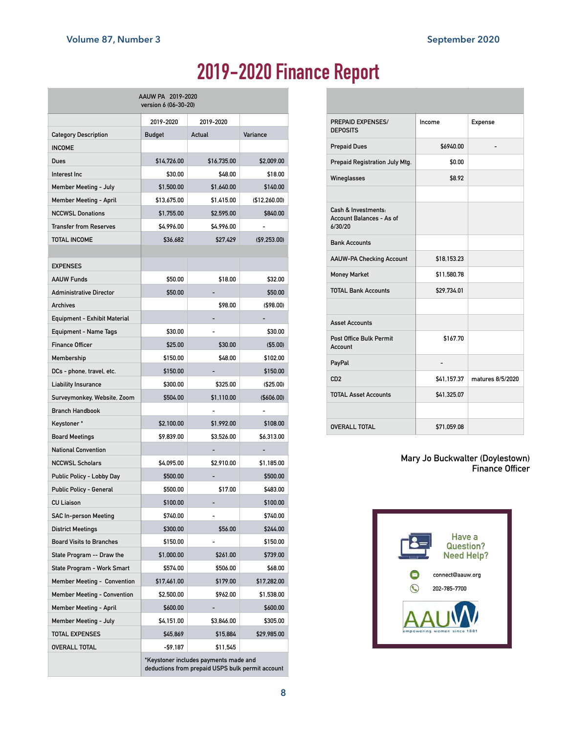## **2019-2020 Finance Report**

| AAUW PA 2019-2020<br>version 6 (06-30-20) |                                                                                           |             |                |  |  |
|-------------------------------------------|-------------------------------------------------------------------------------------------|-------------|----------------|--|--|
|                                           | 2019-2020                                                                                 | 2019-2020   |                |  |  |
| <b>Category Description</b>               | Budget                                                                                    | Actual      | Variance       |  |  |
| <b>INCOME</b>                             |                                                                                           |             |                |  |  |
| Dues                                      | \$14,726.00                                                                               | \$16,735.00 | \$2,009.00     |  |  |
| Interest Inc                              | \$30.00                                                                                   | \$48.00     | \$18.00        |  |  |
| Member Meeting - July                     | \$1,500.00                                                                                | \$1,640.00  | \$140.00       |  |  |
| <b>Member Meeting - April</b>             | \$13,675.00                                                                               | \$1,415.00  | (\$12,260.00)  |  |  |
| <b>NCCWSL Donations</b>                   | \$1,755.00                                                                                | \$2,595.00  | \$840.00       |  |  |
| <b>Transfer from Reserves</b>             | \$4,996.00                                                                                | \$4,996.00  |                |  |  |
| <b>TOTAL INCOME</b>                       | \$36,682                                                                                  | \$27,429    | ( \$9, 253.00) |  |  |
|                                           |                                                                                           |             |                |  |  |
| <b>EXPENSES</b>                           |                                                                                           |             |                |  |  |
| <b>AAUW Funds</b>                         | \$50.00                                                                                   | \$18.00     | \$32.00        |  |  |
| <b>Administrative Director</b>            | \$50.00                                                                                   |             | \$50.00        |  |  |
| <b>Archives</b>                           |                                                                                           | \$98.00     | (\$98.00)      |  |  |
| Equipment - Exhibit Material              |                                                                                           |             |                |  |  |
| Equipment - Name Tags                     | \$30.00                                                                                   |             | \$30.00        |  |  |
| <b>Finance Officer</b>                    | \$25.00                                                                                   | \$30.00     | $($ \$5.00)    |  |  |
| Membership                                | \$150.00                                                                                  | \$48.00     | \$102.00       |  |  |
| DCs - phone, travel, etc.                 | \$150.00                                                                                  |             | \$150.00       |  |  |
| Liability Insurance                       | \$300.00                                                                                  | \$325.00    | (\$25.00)      |  |  |
| Surveymonkey, Website, Zoom               | \$504.00                                                                                  | \$1,110.00  | (\$606.00)     |  |  |
| <b>Branch Handbook</b>                    |                                                                                           |             |                |  |  |
| Keystoner*                                | \$2,100.00                                                                                | \$1,992.00  | \$108.00       |  |  |
| <b>Board Meetings</b>                     | \$9,839.00                                                                                | \$3,526.00  | \$6,313.00     |  |  |
| <b>National Convention</b>                |                                                                                           |             |                |  |  |
| <b>NCCWSL Scholars</b>                    | \$4,095.00                                                                                | \$2,910.00  | \$1,185.00     |  |  |
| Public Policy - Lobby Day                 | \$500.00                                                                                  |             | \$500.00       |  |  |
| Public Policy - General                   | \$500.00                                                                                  | \$17.00     | \$483.00       |  |  |
| <b>CU Liaison</b>                         | \$100.00                                                                                  |             | \$100.00       |  |  |
| <b>SAC In-person Meeting</b>              | \$740.00                                                                                  |             | \$740.00       |  |  |
| <b>District Meetings</b>                  | \$300.00                                                                                  | \$56.00     | \$244.00       |  |  |
| <b>Board Visits to Branches</b>           | \$150.00                                                                                  |             | \$150.00       |  |  |
| State Program -- Draw the                 | \$1,000.00                                                                                | \$261.00    | \$739.00       |  |  |
| State Program - Work Smart                | \$574.00                                                                                  | \$506.00    | \$68.00        |  |  |
| <b>Member Meeting - Convention</b>        | \$17,461.00                                                                               | \$179.00    | \$17,282.00    |  |  |
| <b>Member Meeting - Convention</b>        | \$2,500.00                                                                                | \$962.00    | \$1,538.00     |  |  |
| <b>Member Meeting - April</b>             | \$600.00                                                                                  |             | \$600.00       |  |  |
| Member Meeting - July                     | \$4.151.00                                                                                | \$3,846.00  | \$305.00       |  |  |
| <b>TOTAL EXPENSES</b>                     | \$45,869                                                                                  | \$15,884    | \$29,985.00    |  |  |
| <b>OVERALL TOTAL</b>                      | -\$9,187                                                                                  | \$11,545    |                |  |  |
|                                           | *Keystoner includes payments made and<br>deductions from prepaid USPS bulk permit account |             |                |  |  |

| <b>PREPAID EXPENSES/</b><br><b>DEPOSITS</b>                | Income      | Expense          |
|------------------------------------------------------------|-------------|------------------|
| <b>Prepaid Dues</b>                                        | \$6940.00   |                  |
| Prepaid Registration July Mtg.                             | \$0.00      |                  |
| Wineglasses                                                | \$8.92      |                  |
|                                                            |             |                  |
| Cash & Investments:<br>Account Balances - As of<br>6/30/20 |             |                  |
| <b>Bank Accounts</b>                                       |             |                  |
| <b>AAUW-PA Checking Account</b>                            | \$18,153.23 |                  |
| <b>Money Market</b>                                        | \$11,580.78 |                  |
| <b>TOTAL Bank Accounts</b>                                 | \$29.734.01 |                  |
|                                                            |             |                  |
| <b>Asset Accounts</b>                                      |             |                  |
| <b>Post Office Bulk Permit</b><br>Account                  | \$167.70    |                  |
| PayPal                                                     |             |                  |
| CD2                                                        | \$41.157.37 | matures 8/5/2020 |
| <b>TOTAL Asset Accounts</b>                                | \$41,325.07 |                  |
|                                                            |             |                  |
| <b>OVERALL TOTAL</b>                                       | \$71.059.08 |                  |

**Mary Jo Buckwalter (Doylestown) Finance Officer**

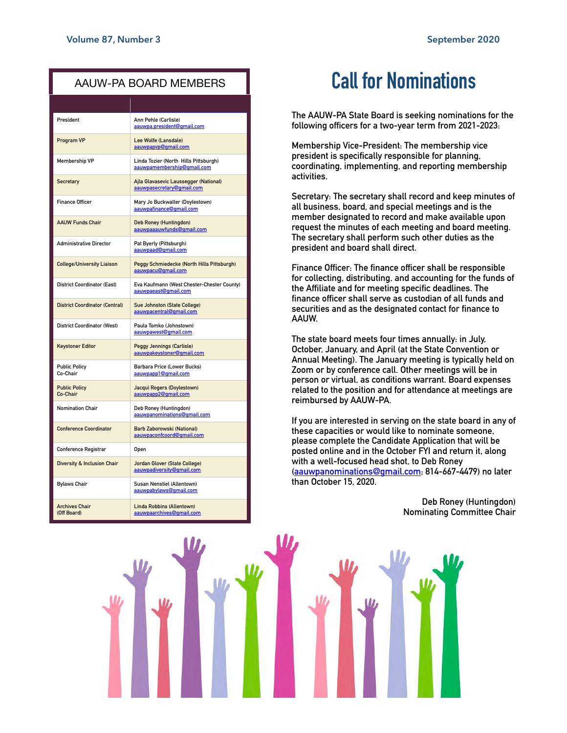#### AAUW-PA BOARD MEMBERS

| President                              | Ann Pehle (Carlisle)<br>aauwpa.president@gmail.com                  |  |
|----------------------------------------|---------------------------------------------------------------------|--|
| Program VP                             | Lee Wolfe (Lansdale)<br>aauwpapyp@gmail.com                         |  |
| <b>Membership VP</b>                   | Linda Tozier (North Hills Pittsburgh)<br>aauwpamembership@qmail.com |  |
| Secretary                              | Ajla Glavasevic Laussegger (National)<br>aauwpasecretary@gmail.com  |  |
| <b>Finance Officer</b>                 | Mary Jo Buckwalter (Doylestown)<br>aauwpafinance@gmail.com          |  |
| <b>AAUW Funds Chair</b>                | Deb Roney (Huntingdon)<br>aauwpaaauwfunds@gmail.com                 |  |
| <b>Administrative Director</b>         | Pat Byerly (Pittsburgh)<br>aauwpaad@gmail.com                       |  |
| <b>College/University Liaison</b>      | Peggy Schmiedecke (North Hills Pittsburgh)<br>aauwpacu@qmail.com    |  |
| <b>District Coordinator (East)</b>     | Eva Kaufmann (West Chester-Chester County)<br>aauwpaeast@gmail.com  |  |
| <b>District Coordinator (Central)</b>  | Sue Johnston (State College)<br>aauwpacentral@gmail.com             |  |
| <b>District Coordinator (West)</b>     | Paula Tomko (Johnstown)<br>aauwpawest@gmail.com                     |  |
| <b>Keystoner Editor</b>                | <b>Peggy Jennings (Carlisle)</b><br>aauwpakeystoner@qmail.com       |  |
| <b>Public Policy</b><br>Co-Chair       | Barbara Price (Lower Bucks)<br>aauwpapp1@gmail.com                  |  |
| <b>Public Policy</b><br>Co-Chair       | Jacqui Rogers (Doylestown)<br>aauwpapp2@gmail.com                   |  |
| <b>Nomination Chair</b>                | Deb Roney (Huntingdon)<br>aauwpanominations@gmail.com               |  |
| <b>Conference Coordinator</b>          | Barb Zaborowski (National)<br>aauwpaconfcoord@gmail.com             |  |
| Conference Registrar                   | <b>Open</b>                                                         |  |
| <b>Diversity &amp; Inclusion Chair</b> | Jordan Glover (State College)<br>aauwpadiversity@gmail.com          |  |
| <b>Bylaws Chair</b>                    | Susan Nenstiel (Allentown)<br>aauwpabylaws@gmail.com                |  |
| <b>Archives Chair</b><br>(Off Board)   | <b>Linda Robbins (Allentown)</b><br>aauwpaarchives@gmail.com        |  |

### **Call for Nominations**

**The AAUW-PA State Board is seeking nominations for the following officers for a two-year term from 2021-2023:** 

**Membership Vice-President: The membership vice president is specifically responsible for planning, coordinating, implementing, and reporting membership activities.** 

**Secretary: The secretary shall record and keep minutes of all business, board, and special meetings and is the member designated to record and make available upon request the minutes of each meeting and board meeting. The secretary shall perform such other duties as the president and board shall direct.** 

**Finance Officer: The finance officer shall be responsible for collecting, distributing, and accounting for the funds of the Affiliate and for meeting specific deadlines. The finance officer shall serve as custodian of all funds and securities and as the designated contact for finance to AAUW.** 

**The state board meets four times annually: in July, October, January, and April (at the State Convention or Annual Meeting). The January meeting is typically held on Zoom or by conference call. Other meetings will be in person or virtual, as conditions warrant. Board expenses related to the position and for attendance at meetings are reimbursed by AAUW-PA.** 

**If you are interested in serving on the state board in any of these capacities or would like to nominate someone, please complete the Candidate Application that will be posted online and in the October FYI and return it, along with a well-focused head shot, to Deb Roney ([aauwpanominations@gmail.com;](mailto:aauwpanominations@gmail.com) 814-667-4479) no later than October 15, 2020.** 

**9**

**Deb Roney (Huntingdon) Nominating Committee Chair**